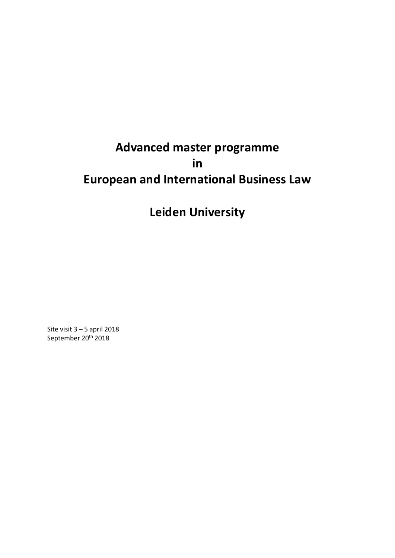# **Advanced master programme in European and International Business Law**

## **Leiden University**

Site visit 3 – 5 april 2018 September 20<sup>th</sup> 2018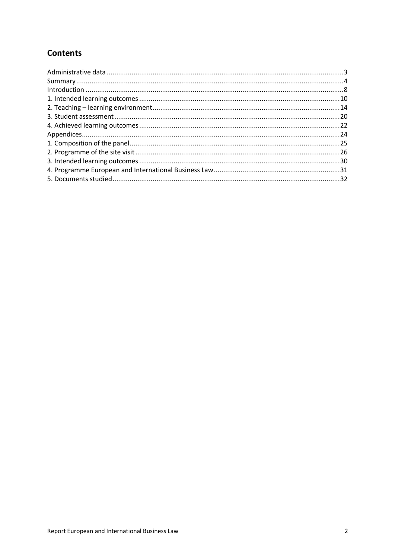## **Contents**

| $\label{eq:interoduction} \text{Introduction} \,\, \ldots \,\, \ldots \,\, \ldots \,\, \ldots \,\, \ldots \,\, \ldots \,\, \ldots \,\, \ldots \,\, \ldots \,\, \ldots \,\, \ldots \,\, \ldots \,\, \ldots \,\, \ldots \,\, \ldots \,\, \ldots \,\, \ldots \,\, \ldots \,\, \ldots \,\, \ldots \,\, \ldots \,\, \ldots \,\, \ldots \,\, \ldots \,\, \ldots \,\, \ldots \,\, \ldots \,\, \ldots \,\, \ldots \,\, \ldots \,\, \ldots \,\, \ldots \,\, \ldots \,\, \ldots \,\$ |  |
|----------------------------------------------------------------------------------------------------------------------------------------------------------------------------------------------------------------------------------------------------------------------------------------------------------------------------------------------------------------------------------------------------------------------------------------------------------------------------|--|
|                                                                                                                                                                                                                                                                                                                                                                                                                                                                            |  |
|                                                                                                                                                                                                                                                                                                                                                                                                                                                                            |  |
|                                                                                                                                                                                                                                                                                                                                                                                                                                                                            |  |
|                                                                                                                                                                                                                                                                                                                                                                                                                                                                            |  |
|                                                                                                                                                                                                                                                                                                                                                                                                                                                                            |  |
|                                                                                                                                                                                                                                                                                                                                                                                                                                                                            |  |
|                                                                                                                                                                                                                                                                                                                                                                                                                                                                            |  |
|                                                                                                                                                                                                                                                                                                                                                                                                                                                                            |  |
|                                                                                                                                                                                                                                                                                                                                                                                                                                                                            |  |
|                                                                                                                                                                                                                                                                                                                                                                                                                                                                            |  |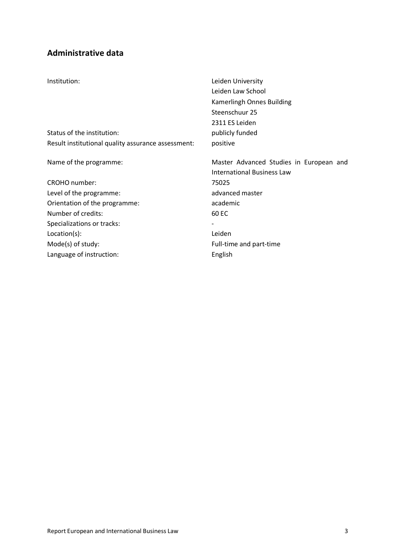## **Administrative data**

| Institution:                                       | Leiden University<br>Leiden Law School<br>Kamerlingh Onnes Building<br>Steenschuur 25<br>2311 ES Leiden |
|----------------------------------------------------|---------------------------------------------------------------------------------------------------------|
| Status of the institution:                         | publicly funded                                                                                         |
| Result institutional quality assurance assessment: | positive                                                                                                |
| Name of the programme:                             | Master Advanced Studies in European and<br><b>International Business Law</b>                            |
| CROHO number:                                      | 75025                                                                                                   |
| Level of the programme:                            | advanced master                                                                                         |
| Orientation of the programme:                      | academic                                                                                                |
| Number of credits:                                 | 60 EC                                                                                                   |
| Specializations or tracks:                         |                                                                                                         |
| Location(s):                                       | Leiden                                                                                                  |
| Mode(s) of study:                                  | Full-time and part-time                                                                                 |
| Language of instruction:                           | English                                                                                                 |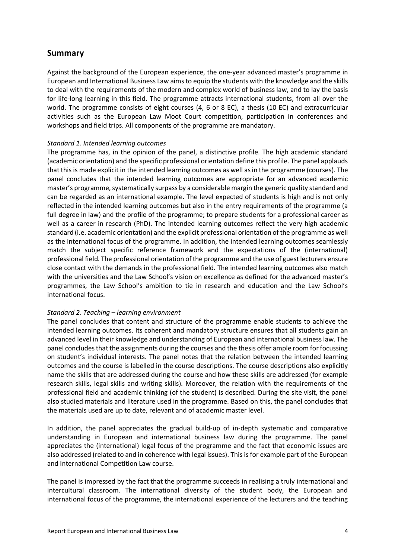### **Summary**

Against the background of the European experience, the one-year advanced master's programme in European and International Business Law aimsto equip the students with the knowledge and the skills to deal with the requirements of the modern and complex world of business law, and to lay the basis for life-long learning in this field. The programme attracts international students, from all over the world. The programme consists of eight courses (4, 6 or 8 EC), a thesis (10 EC) and extracurricular activities such as the European Law Moot Court competition, participation in conferences and workshops and field trips. All components of the programme are mandatory.

#### *Standard 1. Intended learning outcomes*

The programme has, in the opinion of the panel, a distinctive profile. The high academic standard (academic orientation) and the specific professional orientation define this profile. The panel applauds that this is made explicit in the intended learning outcomes as well as in the programme (courses). The panel concludes that the intended learning outcomes are appropriate for an advanced academic master's programme, systematically surpass by a considerable margin the generic quality standard and can be regarded as an international example. The level expected of students is high and is not only reflected in the intended learning outcomes but also in the entry requirements of the programme (a full degree in law) and the profile of the programme; to prepare students for a professional career as well as a career in research (PhD). The intended learning outcomes reflect the very high academic standard (i.e. academic orientation) and the explicit professional orientation of the programme as well as the international focus of the programme. In addition, the intended learning outcomes seamlessly match the subject specific reference framework and the expectations of the (international) professional field. The professional orientation of the programme and the use of guest lecturers ensure close contact with the demands in the professional field. The intended learning outcomes also match with the universities and the Law School's vision on excellence as defined for the advanced master's programmes, the Law School's ambition to tie in research and education and the Law School's international focus.

#### *Standard 2. Teaching – learning environment*

The panel concludes that content and structure of the programme enable students to achieve the intended learning outcomes. Its coherent and mandatory structure ensures that all students gain an advanced level in their knowledge and understanding of European and international business law. The panel concludes that the assignments during the courses and the thesis offer ample room for focussing on student's individual interests. The panel notes that the relation between the intended learning outcomes and the course is labelled in the course descriptions. The course descriptions also explicitly name the skills that are addressed during the course and how these skills are addressed (for example research skills, legal skills and writing skills). Moreover, the relation with the requirements of the professional field and academic thinking (of the student) is described. During the site visit, the panel also studied materials and literature used in the programme. Based on this, the panel concludes that the materials used are up to date, relevant and of academic master level.

In addition, the panel appreciates the gradual build-up of in-depth systematic and comparative understanding in European and international business law during the programme. The panel appreciates the (international) legal focus of the programme and the fact that economic issues are also addressed (related to and in coherence with legal issues). This is for example part of the European and International Competition Law course.

The panel is impressed by the fact that the programme succeeds in realising a truly international and intercultural classroom. The international diversity of the student body, the European and international focus of the programme, the international experience of the lecturers and the teaching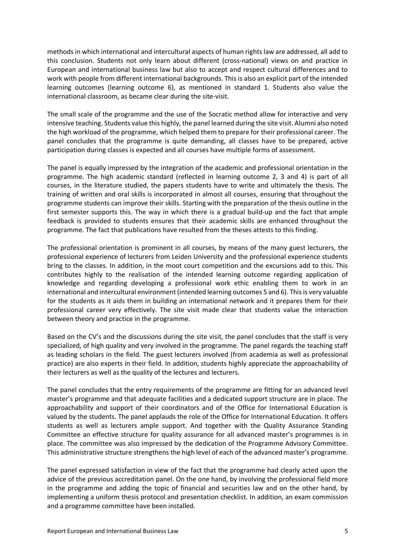methods in which international and intercultural aspects of human rights law are addressed, all add to this conclusion. Students not only learn about different (cross-national) views on and practice in European and international business law but also to accept and respect cultural differences and to work with people from different international backgrounds. This is also an explicit part of the intended learning outcomes (learning outcome 6), as mentioned in standard 1. Students also value the international classroom, as became clear during the site-visit.

The small scale of the programme and the use of the Socratic method allow for interactive and very intensive teaching. Students value this highly, the panel learned during the site visit. Alumni also noted the high workload of the programme, which helped them to prepare for their professional career. The panel concludes that the programme is quite demanding, all classes have to be prepared, active participation during classes is expected and all courses have multiple forms of assessment.

The panel is equally impressed by the integration of the academic and professional orientation in the programme. The high academic standard (reflected in learning outcome 2, 3 and 4) is part of all courses, in the literature studied, the papers students have to write and ultimately the thesis. The training of written and oral skills is incorporated in almost all courses, ensuring that throughout the programme students can improve their skills. Starting with the preparation of the thesis outline in the first semester supports this. The way in which there is a gradual build-up and the fact that ample feedback is provided to students ensures that their academic skills are enhanced throughout the programme. The fact that publications have resulted from the theses attests to this finding.

The professional orientation is prominent in all courses, by means of the many guest lecturers, the professional experience of lecturers from Leiden University and the professional experience students bring to the classes. In addition, in the moot court competition and the excursions add to this. This contributes highly to the realisation of the intended learning outcome regarding application of knowledge and regarding developing a professional work ethic enabling them to work in an international and intercultural environment (intended learning outcomes 5 and 6). This is very valuable for the students as it aids them in building an international network and it prepares them for their professional career very effectively. The site visit made clear that students value the interaction between theory and practice in the programme.

Based on the CV's and the discussions during the site visit, the panel concludes that the staff is very specialized, of high quality and very involved in the programme. The panel regards the teaching staff as leading scholars in the field. The guest lecturers involved (from academia as well as professional practice) are also experts in their field. In addition, students highly appreciate the approachability of their lecturers as well as the quality of the lectures and lecturers.

The panel concludes that the entry requirements of the programme are fitting for an advanced level master's programme and that adequate facilities and a dedicated support structure are in place. The approachability and support of their coordinators and of the Office for International Education is valued by the students. The panel applauds the role of the Office for International Education. It offers students as well as lecturers ample support. And together with the Quality Assurance Standing Committee an effective structure for quality assurance for all advanced master's programmes is in place. The committee was also impressed by the dedication of the Programme Advisory Committee. This administrative structure strengthens the high level of each of the advanced master's programme.

The panel expressed satisfaction in view of the fact that the programme had clearly acted upon the advice of the previous accreditation panel. On the one hand, by involving the professional field more in the programme and adding the topic of financial and securities law and on the other hand, by implementing a uniform thesis protocol and presentation checklist. In addition, an exam commission and a programme committee have been installed.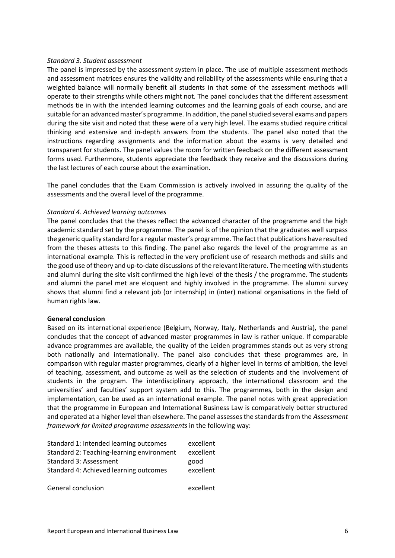#### *Standard 3. Student assessment*

The panel is impressed by the assessment system in place. The use of multiple assessment methods and assessment matrices ensures the validity and reliability of the assessments while ensuring that a weighted balance will normally benefit all students in that some of the assessment methods will operate to their strengths while others might not. The panel concludes that the different assessment methods tie in with the intended learning outcomes and the learning goals of each course, and are suitable for an advanced master's programme. In addition, the panel studied several exams and papers during the site visit and noted that these were of a very high level. The exams studied require critical thinking and extensive and in-depth answers from the students. The panel also noted that the instructions regarding assignments and the information about the exams is very detailed and transparent for students. The panel values the room for written feedback on the different assessment forms used. Furthermore, students appreciate the feedback they receive and the discussions during the last lectures of each course about the examination.

The panel concludes that the Exam Commission is actively involved in assuring the quality of the assessments and the overall level of the programme.

#### *Standard 4. Achieved learning outcomes*

The panel concludes that the theses reflect the advanced character of the programme and the high academic standard set by the programme. The panel is of the opinion that the graduates well surpass the generic quality standard for a regular master's programme. The fact that publications have resulted from the theses attests to this finding. The panel also regards the level of the programme as an international example. This is reflected in the very proficient use of research methods and skills and the good use of theory and up-to-date discussions of the relevant literature. The meeting with students and alumni during the site visit confirmed the high level of the thesis / the programme. The students and alumni the panel met are eloquent and highly involved in the programme. The alumni survey shows that alumni find a relevant job (or internship) in (inter) national organisations in the field of human rights law.

#### **General conclusion**

Based on its international experience (Belgium, Norway, Italy, Netherlands and Austria), the panel concludes that the concept of advanced master programmes in law is rather unique. If comparable advance programmes are available, the quality of the Leiden programmes stands out as very strong both nationally and internationally. The panel also concludes that these programmes are, in comparison with regular master programmes, clearly of a higher level in terms of ambition, the level of teaching, assessment, and outcome as well as the selection of students and the involvement of students in the program. The interdisciplinary approach, the international classroom and the universities' and faculties' support system add to this. The programmes, both in the design and implementation, can be used as an international example. The panel notes with great appreciation that the programme in European and International Business Law is comparatively better structured and operated at a higher level than elsewhere. The panel assesses the standards from the *Assessment framework for limited programme assessments* in the following way:

| Standard 1: Intended learning outcomes    | excellent |
|-------------------------------------------|-----------|
| Standard 2: Teaching-learning environment | excellent |
| Standard 3: Assessment                    | good      |
| Standard 4: Achieved learning outcomes    | excellent |
| General conclusion                        | excellent |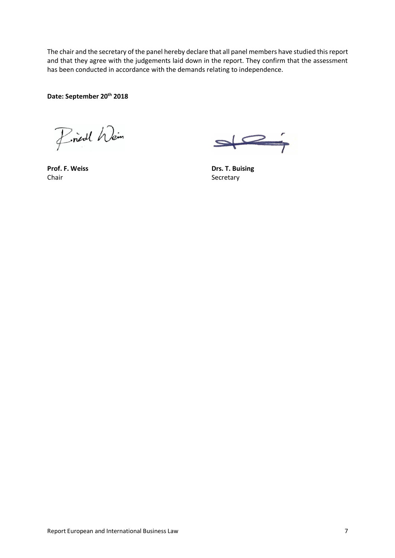The chair and the secretary of the panel hereby declare that all panel members have studied this report and that they agree with the judgements laid down in the report. They confirm that the assessment has been conducted in accordance with the demands relating to independence.

**Date: September 20th 2018**

Friedl Wein

**Chair** Secretary

**Prof. F. Weiss Drs. T. Buising**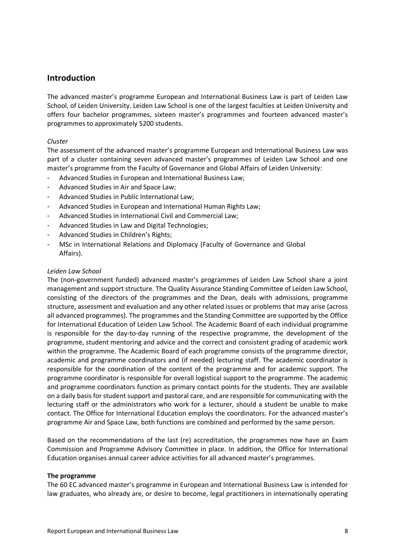### **Introduction**

The advanced master's programme European and International Business Law is part of Leiden Law School, of Leiden University. Leiden Law School is one of the largest faculties at Leiden University and offers four bachelor programmes, sixteen master's programmes and fourteen advanced master's programmes to approximately 5200 students.

#### *Cluster*

The assessment of the advanced master's programme European and International Business Law was part of a cluster containing seven advanced master's programmes of Leiden Law School and one master's programme from the Faculty of Governance and Global Affairs of Leiden University:

- Advanced Studies in European and International Business Law;
- Advanced Studies in Air and Space Law;
- Advanced Studies in Public International Law;
- Advanced Studies in European and International Human Rights Law;
- Advanced Studies in International Civil and Commercial Law;
- Advanced Studies in Law and Digital Technologies;
- Advanced Studies in Children's Rights;
- MSc in International Relations and Diplomacy (Faculty of Governance and Global Affairs).

#### *Leiden Law School*

The (non-government funded) advanced master's programmes of Leiden Law School share a joint management and support structure. The Quality Assurance Standing Committee of Leiden Law School, consisting of the directors of the programmes and the Dean, deals with admissions, programme structure, assessment and evaluation and any other related issues or problems that may arise (across all advanced programmes). The programmes and the Standing Committee are supported by the Office for International Education of Leiden Law School. The Academic Board of each individual programme is responsible for the day-to-day running of the respective programme, the development of the programme, student mentoring and advice and the correct and consistent grading of academic work within the programme. The Academic Board of each programme consists of the programme director, academic and programme coordinators and (if needed) lecturing staff. The academic coordinator is responsible for the coordination of the content of the programme and for academic support. The programme coordinator is responsible for overall logistical support to the programme. The academic and programme coordinators function as primary contact points for the students. They are available on a daily basis for student support and pastoral care, and are responsible for communicating with the lecturing staff or the administrators who work for a lecturer, should a student be unable to make contact. The Office for International Education employs the coordinators. For the advanced master's programme Air and Space Law, both functions are combined and performed by the same person.

Based on the recommendations of the last (re) accreditation, the programmes now have an Exam Commission and Programme Advisory Committee in place. In addition, the Office for International Education organises annual career advice activities for all advanced master's programmes.

#### **The programme**

The 60 EC advanced master's programme in European and International Business Law is intended for law graduates, who already are, or desire to become, legal practitioners in internationally operating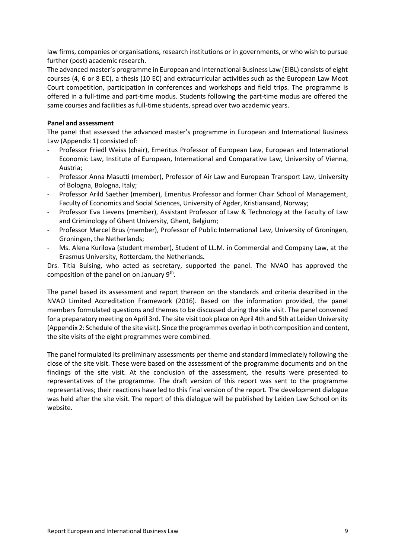law firms, companies or organisations, research institutions or in governments, or who wish to pursue further (post) academic research.

The advanced master's programme in European and International Business Law (EIBL) consists of eight courses (4, 6 or 8 EC), a thesis (10 EC) and extracurricular activities such as the European Law Moot Court competition, participation in conferences and workshops and field trips. The programme is offered in a full-time and part-time modus. Students following the part-time modus are offered the same courses and facilities as full-time students, spread over two academic years.

#### **Panel and assessment**

The panel that assessed the advanced master's programme in European and International Business Law (Appendix 1) consisted of:

- Professor Friedl Weiss (chair), Emeritus Professor of European Law, European and International Economic Law, Institute of European, International and Comparative Law, University of Vienna, Austria;
- Professor Anna Masutti (member), Professor of Air Law and European Transport Law, University of Bologna, Bologna, Italy;
- Professor Arild Saether (member), Emeritus Professor and former Chair School of Management, Faculty of Economics and Social Sciences, University of Agder, Kristiansand, Norway;
- Professor Eva Lievens (member), Assistant Professor of Law & Technology at the Faculty of Law and Criminology of Ghent University, Ghent, Belgium;
- Professor Marcel Brus (member), Professor of Public International Law, University of Groningen, Groningen, the Netherlands;
- Ms. Alena Kurilova (student member), Student of LL.M. in Commercial and Company Law, at the Erasmus University, Rotterdam, the Netherlands.

Drs. Titia Buising, who acted as secretary, supported the panel. The NVAO has approved the composition of the panel on on January  $9<sup>th</sup>$ .

The panel based its assessment and report thereon on the standards and criteria described in the NVAO Limited Accreditation Framework (2016). Based on the information provided, the panel members formulated questions and themes to be discussed during the site visit. The panel convened for a preparatory meeting on April 3rd. The site visit took place on April 4th and 5th at Leiden University (Appendix 2: Schedule of the site visit). Since the programmes overlap in both composition and content, the site visits of the eight programmes were combined.

The panel formulated its preliminary assessments per theme and standard immediately following the close of the site visit. These were based on the assessment of the programme documents and on the findings of the site visit. At the conclusion of the assessment, the results were presented to representatives of the programme. The draft version of this report was sent to the programme representatives; their reactions have led to this final version of the report. The development dialogue was held after the site visit. The report of this dialogue will be published by Leiden Law School on its website.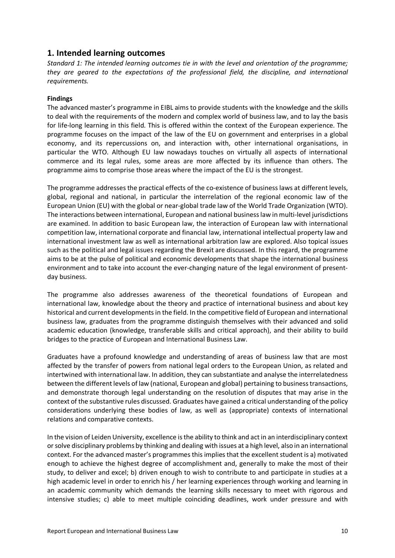### **1. Intended learning outcomes**

*Standard 1: The intended learning outcomes tie in with the level and orientation of the programme; they are geared to the expectations of the professional field, the discipline, and international requirements.*

#### **Findings**

The advanced master's programme in EIBL aims to provide students with the knowledge and the skills to deal with the requirements of the modern and complex world of business law, and to lay the basis for life-long learning in this field. This is offered within the context of the European experience. The programme focuses on the impact of the law of the EU on government and enterprises in a global economy, and its repercussions on, and interaction with, other international organisations, in particular the WTO. Although EU law nowadays touches on virtually all aspects of international commerce and its legal rules, some areas are more affected by its influence than others. The programme aims to comprise those areas where the impact of the EU is the strongest.

The programme addresses the practical effects of the co-existence of business laws at different levels, global, regional and national, in particular the interrelation of the regional economic law of the European Union (EU) with the global or near-global trade law of the World Trade Organization (WTO). The interactions between international, European and national business law in multi-level jurisdictions are examined. In addition to basic European law, the interaction of European law with international competition law, international corporate and financial law, international intellectual property law and international investment law as well as international arbitration law are explored. Also topical issues such as the political and legal issues regarding the Brexit are discussed. In this regard, the programme aims to be at the pulse of political and economic developments that shape the international business environment and to take into account the ever-changing nature of the legal environment of presentday business.

The programme also addresses awareness of the theoretical foundations of European and international law, knowledge about the theory and practice of international business and about key historical and current developments in the field. In the competitive field of European and international business law, graduates from the programme distinguish themselves with their advanced and solid academic education (knowledge, transferable skills and critical approach), and their ability to build bridges to the practice of European and International Business Law.

Graduates have a profound knowledge and understanding of areas of business law that are most affected by the transfer of powers from national legal orders to the European Union, as related and intertwined with international law. In addition, they can substantiate and analyse the interrelatedness between the different levels of law (national, European and global) pertaining to business transactions, and demonstrate thorough legal understanding on the resolution of disputes that may arise in the context of the substantive rules discussed. Graduates have gained a critical understanding of the policy considerations underlying these bodies of law, as well as (appropriate) contexts of international relations and comparative contexts.

In the vision of Leiden University, excellence is the ability to think and act in an interdisciplinary context or solve disciplinary problems by thinking and dealing with issues at a high level, also in an international context. For the advanced master's programmes this implies that the excellent student is a) motivated enough to achieve the highest degree of accomplishment and, generally to make the most of their study, to deliver and excel; b) driven enough to wish to contribute to and participate in studies at a high academic level in order to enrich his / her learning experiences through working and learning in an academic community which demands the learning skills necessary to meet with rigorous and intensive studies; c) able to meet multiple coinciding deadlines, work under pressure and with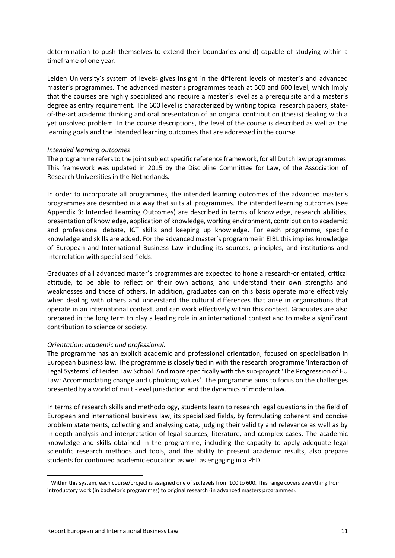determination to push themselves to extend their boundaries and d) capable of studying within a timeframe of one year.

Leiden University's system of levels<sup>1</sup> gives insight in the different levels of master's and advanced master's programmes. The advanced master's programmes teach at 500 and 600 level, which imply that the courses are highly specialized and require a master's level as a prerequisite and a master's degree as entry requirement. The 600 level is characterized by writing topical research papers, stateof-the-art academic thinking and oral presentation of an original contribution (thesis) dealing with a yet unsolved problem. In the course descriptions, the level of the course is described as well as the learning goals and the intended learning outcomes that are addressed in the course.

#### *Intended learning outcomes*

The programme refers to the joint subject specific reference framework, for all Dutch law programmes. This framework was updated in 2015 by the Discipline Committee for Law, of the Association of Research Universities in the Netherlands.

In order to incorporate all programmes, the intended learning outcomes of the advanced master's programmes are described in a way that suits all programmes. The intended learning outcomes (see Appendix 3: Intended Learning Outcomes) are described in terms of knowledge, research abilities, presentation of knowledge, application of knowledge, working environment, contribution to academic and professional debate, ICT skills and keeping up knowledge. For each programme, specific knowledge and skills are added. For the advanced master's programme in EIBL this implies knowledge of European and International Business Law including its sources, principles, and institutions and interrelation with specialised fields.

Graduates of all advanced master's programmes are expected to hone a research-orientated, critical attitude, to be able to reflect on their own actions, and understand their own strengths and weaknesses and those of others. In addition, graduates can on this basis operate more effectively when dealing with others and understand the cultural differences that arise in organisations that operate in an international context, and can work effectively within this context. Graduates are also prepared in the long term to play a leading role in an international context and to make a significant contribution to science or society.

#### *Orientation: academic and professional.*

The programme has an explicit academic and professional orientation, focused on specialisation in European business law. The programme is closely tied in with the research programme 'Interaction of Legal Systems' of Leiden Law School. And more specifically with the sub-project 'The Progression of EU Law: Accommodating change and upholding values'. The programme aims to focus on the challenges presented by a world of multi-level jurisdiction and the dynamics of modern law.

In terms of research skills and methodology, students learn to research legal questions in the field of European and international business law, its specialised fields, by formulating coherent and concise problem statements, collecting and analysing data, judging their validity and relevance as well as by in-depth analysis and interpretation of legal sources, literature, and complex cases. The academic knowledge and skills obtained in the programme, including the capacity to apply adequate legal scientific research methods and tools, and the ability to present academic results, also prepare students for continued academic education as well as engaging in a PhD.

 $\overline{a}$ 

 $1$  Within this system, each course/project is assigned one of six levels from 100 to 600. This range covers everything from introductory work (in bachelor's programmes) to original research (in advanced masters programmes).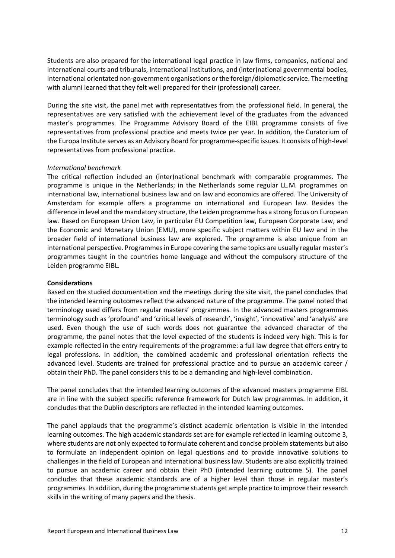Students are also prepared for the international legal practice in law firms, companies, national and international courts and tribunals, international institutions, and (inter)national governmental bodies, international orientated non-government organisations or the foreign/diplomatic service. The meeting with alumni learned that they felt well prepared for their (professional) career.

During the site visit, the panel met with representatives from the professional field. In general, the representatives are very satisfied with the achievement level of the graduates from the advanced master's programmes. The Programme Advisory Board of the EIBL programme consists of five representatives from professional practice and meets twice per year. In addition, the Curatorium of the Europa Institute serves as an Advisory Board for programme-specific issues. It consists of high-level representatives from professional practice.

#### *International benchmark*

The critical reflection included an (inter)national benchmark with comparable programmes. The programme is unique in the Netherlands; in the Netherlands some regular LL.M. programmes on international law, international business law and on law and economics are offered. The University of Amsterdam for example offers a programme on international and European law. Besides the difference in level and the mandatory structure, the Leiden programme has a strong focus on European law. Based on European Union Law, in particular EU Competition law, European Corporate Law, and the Economic and Monetary Union (EMU), more specific subject matters within EU law and in the broader field of international business law are explored. The programme is also unique from an international perspective. Programmes in Europe covering the same topics are usually regular master's programmes taught in the countries home language and without the compulsory structure of the Leiden programme EIBL.

#### **Considerations**

Based on the studied documentation and the meetings during the site visit, the panel concludes that the intended learning outcomes reflect the advanced nature of the programme. The panel noted that terminology used differs from regular masters' programmes. In the advanced masters programmes terminology such as 'profound' and 'critical levels of research', 'insight', 'innovative' and 'analysis' are used. Even though the use of such words does not guarantee the advanced character of the programme, the panel notes that the level expected of the students is indeed very high. This is for example reflected in the entry requirements of the programme: a full law degree that offers entry to legal professions. In addition, the combined academic and professional orientation reflects the advanced level. Students are trained for professional practice and to pursue an academic career / obtain their PhD. The panel considers this to be a demanding and high-level combination.

The panel concludes that the intended learning outcomes of the advanced masters programme EIBL are in line with the subject specific reference framework for Dutch law programmes. In addition, it concludes that the Dublin descriptors are reflected in the intended learning outcomes.

The panel applauds that the programme's distinct academic orientation is visible in the intended learning outcomes. The high academic standards set are for example reflected in learning outcome 3, where students are not only expected to formulate coherent and concise problem statements but also to formulate an independent opinion on legal questions and to provide innovative solutions to challenges in the field of European and international business law. Students are also explicitly trained to pursue an academic career and obtain their PhD (intended learning outcome 5). The panel concludes that these academic standards are of a higher level than those in regular master's programmes. In addition, during the programme students get ample practice to improve their research skills in the writing of many papers and the thesis.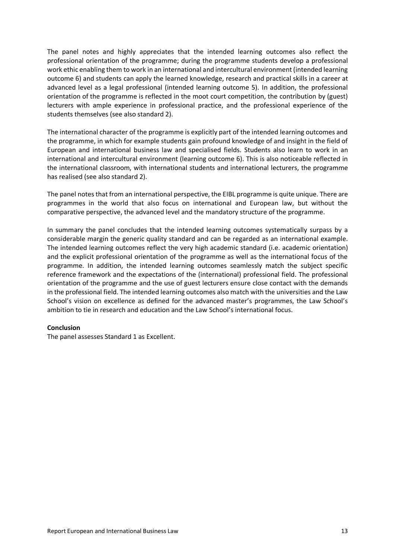The panel notes and highly appreciates that the intended learning outcomes also reflect the professional orientation of the programme; during the programme students develop a professional work ethic enabling them to work in an international and intercultural environment (intended learning outcome 6) and students can apply the learned knowledge, research and practical skills in a career at advanced level as a legal professional (intended learning outcome 5). In addition, the professional orientation of the programme is reflected in the moot court competition, the contribution by (guest) lecturers with ample experience in professional practice, and the professional experience of the students themselves (see also standard 2).

The international character of the programme is explicitly part of the intended learning outcomes and the programme, in which for example students gain profound knowledge of and insight in the field of European and international business law and specialised fields. Students also learn to work in an international and intercultural environment (learning outcome 6). This is also noticeable reflected in the international classroom, with international students and international lecturers, the programme has realised (see also standard 2).

The panel notes that from an international perspective, the EIBL programme is quite unique. There are programmes in the world that also focus on international and European law, but without the comparative perspective, the advanced level and the mandatory structure of the programme.

In summary the panel concludes that the intended learning outcomes systematically surpass by a considerable margin the generic quality standard and can be regarded as an international example. The intended learning outcomes reflect the very high academic standard (i.e. academic orientation) and the explicit professional orientation of the programme as well as the international focus of the programme. In addition, the intended learning outcomes seamlessly match the subject specific reference framework and the expectations of the (international) professional field. The professional orientation of the programme and the use of guest lecturers ensure close contact with the demands in the professional field. The intended learning outcomes also match with the universities and the Law School's vision on excellence as defined for the advanced master's programmes, the Law School's ambition to tie in research and education and the Law School's international focus.

#### **Conclusion**

The panel assesses Standard 1 as Excellent.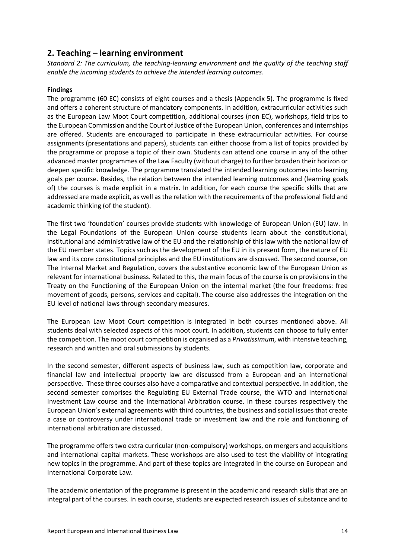## **2. Teaching – learning environment**

*Standard 2: The curriculum, the teaching-learning environment and the quality of the teaching staff enable the incoming students to achieve the intended learning outcomes.*

#### **Findings**

The programme (60 EC) consists of eight courses and a thesis (Appendix 5). The programme is fixed and offers a coherent structure of mandatory components. In addition, extracurricular activities such as the European Law Moot Court competition, additional courses (non EC), workshops, field trips to the European Commission and the Court of Justice of the European Union, conferences and internships are offered. Students are encouraged to participate in these extracurricular activities. For course assignments (presentations and papers), students can either choose from a list of topics provided by the programme or propose a topic of their own. Students can attend one course in any of the other advanced master programmes of the Law Faculty (without charge) to further broaden their horizon or deepen specific knowledge. The programme translated the intended learning outcomes into learning goals per course. Besides, the relation between the intended learning outcomes and (learning goals of) the courses is made explicit in a matrix. In addition, for each course the specific skills that are addressed are made explicit, as well as the relation with the requirements of the professional field and academic thinking (of the student).

The first two 'foundation' courses provide students with knowledge of European Union (EU) law. In the Legal Foundations of the European Union course students learn about the constitutional, institutional and administrative law of the EU and the relationship of this law with the national law of the EU member states. Topics such as the development of the EU in its present form, the nature of EU law and its core constitutional principles and the EU institutions are discussed. The second course, on The Internal Market and Regulation, covers the substantive economic law of the European Union as relevant for international business. Related to this, the main focus of the course is on provisions in the Treaty on the Functioning of the European Union on the internal market (the four freedoms: free movement of goods, persons, services and capital). The course also addresses the integration on the EU level of national laws through secondary measures.

The European Law Moot Court competition is integrated in both courses mentioned above. All students deal with selected aspects of this moot court. In addition, students can choose to fully enter the competition. The moot court competition is organised as a *Privatissimum*, with intensive teaching, research and written and oral submissions by students.

In the second semester, different aspects of business law, such as competition law, corporate and financial law and intellectual property law are discussed from a European and an international perspective. These three courses also have a comparative and contextual perspective. In addition, the second semester comprises the Regulating EU External Trade course, the WTO and International Investment Law course and the International Arbitration course. In these courses respectively the European Union's external agreements with third countries, the business and social issues that create a case or controversy under international trade or investment law and the role and functioning of international arbitration are discussed.

The programme offers two extra curricular (non-compulsory) workshops, on mergers and acquisitions and international capital markets. These workshops are also used to test the viability of integrating new topics in the programme. And part of these topics are integrated in the course on European and International Corporate Law.

The academic orientation of the programme is present in the academic and research skills that are an integral part of the courses. In each course, students are expected research issues of substance and to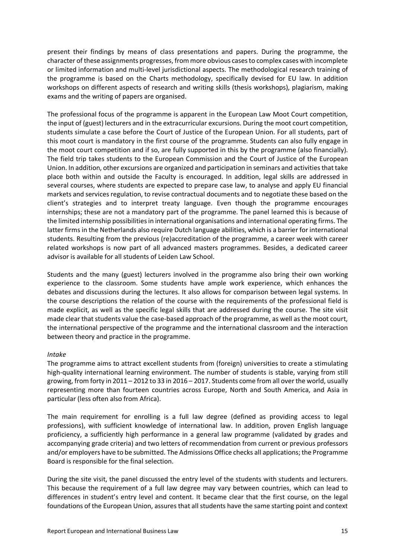present their findings by means of class presentations and papers. During the programme, the character of these assignments progresses, from more obvious cases to complex cases with incomplete or limited information and multi-level jurisdictional aspects. The methodological research training of the programme is based on the Charts methodology, specifically devised for EU law. In addition workshops on different aspects of research and writing skills (thesis workshops), plagiarism, making exams and the writing of papers are organised.

The professional focus of the programme is apparent in the European Law Moot Court competition, the input of (guest) lecturers and in the extracurricular excursions. During the moot court competition, students simulate a case before the Court of Justice of the European Union. For all students, part of this moot court is mandatory in the first course of the programme. Students can also fully engage in the moot court competition and if so, are fully supported in this by the programme (also financially). The field trip takes students to the European Commission and the Court of Justice of the European Union. In addition, other excursions are organized and participation in seminars and activities that take place both within and outside the Faculty is encouraged. In addition, legal skills are addressed in several courses, where students are expected to prepare case law, to analyse and apply EU financial markets and services regulation, to revise contractual documents and to negotiate these based on the client's strategies and to interpret treaty language. Even though the programme encourages internships; these are not a mandatory part of the programme. The panel learned this is because of the limited internship possibilities in international organisations and international operating firms. The latter firms in the Netherlands also require Dutch language abilities, which is a barrier for international students. Resulting from the previous (re)accreditation of the programme, a career week with career related workshops is now part of all advanced masters programmes. Besides, a dedicated career advisor is available for all students of Leiden Law School.

Students and the many (guest) lecturers involved in the programme also bring their own working experience to the classroom. Some students have ample work experience, which enhances the debates and discussions during the lectures. It also allows for comparison between legal systems. In the course descriptions the relation of the course with the requirements of the professional field is made explicit, as well as the specific legal skills that are addressed during the course. The site visit made clear that students value the case-based approach of the programme, as well as the moot court, the international perspective of the programme and the international classroom and the interaction between theory and practice in the programme.

#### *Intake*

The programme aims to attract excellent students from (foreign) universities to create a stimulating high-quality international learning environment. The number of students is stable, varying from still growing, from forty in 2011 – 2012 to 33 in 2016 – 2017. Students come from all over the world, usually representing more than fourteen countries across Europe, North and South America, and Asia in particular (less often also from Africa).

The main requirement for enrolling is a full law degree (defined as providing access to legal professions), with sufficient knowledge of international law. In addition, proven English language proficiency, a sufficiently high performance in a general law programme (validated by grades and accompanying grade criteria) and two letters of recommendation from current or previous professors and/or employers have to be submitted. The Admissions Office checks all applications;the Programme Board is responsible for the final selection.

During the site visit, the panel discussed the entry level of the students with students and lecturers. This because the requirement of a full law degree may vary between countries, which can lead to differences in student's entry level and content. It became clear that the first course, on the legal foundations of the European Union, assures that all students have the same starting point and context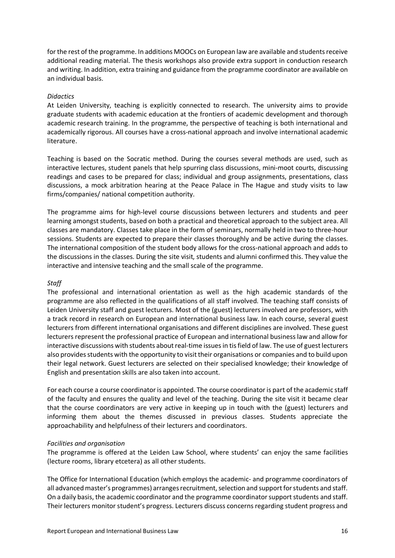for the rest of the programme. In additions MOOCs on European law are available and students receive additional reading material. The thesis workshops also provide extra support in conduction research and writing. In addition, extra training and guidance from the programme coordinator are available on an individual basis.

#### *Didactics*

At Leiden University, teaching is explicitly connected to research. The university aims to provide graduate students with academic education at the frontiers of academic development and thorough academic research training. In the programme, the perspective of teaching is both international and academically rigorous. All courses have a cross-national approach and involve international academic literature.

Teaching is based on the Socratic method. During the courses several methods are used, such as interactive lectures, student panels that help spurring class discussions, mini-moot courts, discussing readings and cases to be prepared for class; individual and group assignments, presentations, class discussions, a mock arbitration hearing at the Peace Palace in The Hague and study visits to law firms/companies/ national competition authority.

The programme aims for high-level course discussions between lecturers and students and peer learning amongst students, based on both a practical and theoretical approach to the subject area. All classes are mandatory. Classes take place in the form of seminars, normally held in two to three-hour sessions. Students are expected to prepare their classes thoroughly and be active during the classes. The international composition of the student body allows for the cross-national approach and adds to the discussions in the classes. During the site visit, students and alumni confirmed this. They value the interactive and intensive teaching and the small scale of the programme.

#### *Staff*

The professional and international orientation as well as the high academic standards of the programme are also reflected in the qualifications of all staff involved. The teaching staff consists of Leiden University staff and guest lecturers. Most of the (guest) lecturers involved are professors, with a track record in research on European and international business law. In each course, several guest lecturers from different international organisations and different disciplines are involved. These guest lecturers represent the professional practice of European and international business law and allow for interactive discussions with students about real-time issues in tis field of law. The use of guest lecturers also provides students with the opportunity to visit their organisations or companies and to build upon their legal network. Guest lecturers are selected on their specialised knowledge; their knowledge of English and presentation skills are also taken into account.

For each course a course coordinator is appointed. The course coordinator is part of the academic staff of the faculty and ensures the quality and level of the teaching. During the site visit it became clear that the course coordinators are very active in keeping up in touch with the (guest) lecturers and informing them about the themes discussed in previous classes. Students appreciate the approachability and helpfulness of their lecturers and coordinators.

#### *Facilities and organisation*

The programme is offered at the Leiden Law School, where students' can enjoy the same facilities (lecture rooms, library etcetera) as all other students.

The Office for International Education (which employs the academic- and programme coordinators of all advanced master's programmes) arranges recruitment, selection and support for students and staff. On a daily basis, the academic coordinator and the programme coordinator support students and staff. Their lecturers monitor student's progress. Lecturers discuss concerns regarding student progress and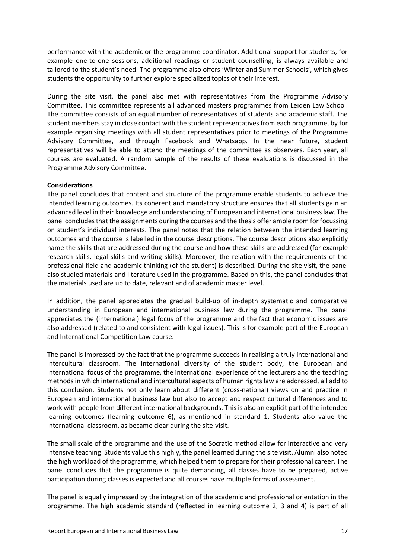performance with the academic or the programme coordinator. Additional support for students, for example one-to-one sessions, additional readings or student counselling, is always available and tailored to the student's need. The programme also offers 'Winter and Summer Schools', which gives students the opportunity to further explore specialized topics of their interest.

During the site visit, the panel also met with representatives from the Programme Advisory Committee. This committee represents all advanced masters programmes from Leiden Law School. The committee consists of an equal number of representatives of students and academic staff. The student members stay in close contact with the student representatives from each programme, by for example organising meetings with all student representatives prior to meetings of the Programme Advisory Committee, and through Facebook and Whatsapp. In the near future, student representatives will be able to attend the meetings of the committee as observers. Each year, all courses are evaluated. A random sample of the results of these evaluations is discussed in the Programme Advisory Committee.

#### **Considerations**

The panel concludes that content and structure of the programme enable students to achieve the intended learning outcomes. Its coherent and mandatory structure ensures that all students gain an advanced level in their knowledge and understanding of European and international business law. The panel concludes that the assignments during the courses and the thesis offer ample room for focussing on student's individual interests. The panel notes that the relation between the intended learning outcomes and the course is labelled in the course descriptions. The course descriptions also explicitly name the skills that are addressed during the course and how these skills are addressed (for example research skills, legal skills and writing skills). Moreover, the relation with the requirements of the professional field and academic thinking (of the student) is described. During the site visit, the panel also studied materials and literature used in the programme. Based on this, the panel concludes that the materials used are up to date, relevant and of academic master level.

In addition, the panel appreciates the gradual build-up of in-depth systematic and comparative understanding in European and international business law during the programme. The panel appreciates the (international) legal focus of the programme and the fact that economic issues are also addressed (related to and consistent with legal issues). This is for example part of the European and International Competition Law course.

The panel is impressed by the fact that the programme succeeds in realising a truly international and intercultural classroom. The international diversity of the student body, the European and international focus of the programme, the international experience of the lecturers and the teaching methods in which international and intercultural aspects of human rights law are addressed, all add to this conclusion. Students not only learn about different (cross-national) views on and practice in European and international business law but also to accept and respect cultural differences and to work with people from different international backgrounds. This is also an explicit part of the intended learning outcomes (learning outcome 6), as mentioned in standard 1. Students also value the international classroom, as became clear during the site-visit.

The small scale of the programme and the use of the Socratic method allow for interactive and very intensive teaching. Students value this highly, the panel learned during the site visit. Alumni also noted the high workload of the programme, which helped them to prepare for their professional career. The panel concludes that the programme is quite demanding, all classes have to be prepared, active participation during classes is expected and all courses have multiple forms of assessment.

The panel is equally impressed by the integration of the academic and professional orientation in the programme. The high academic standard (reflected in learning outcome 2, 3 and 4) is part of all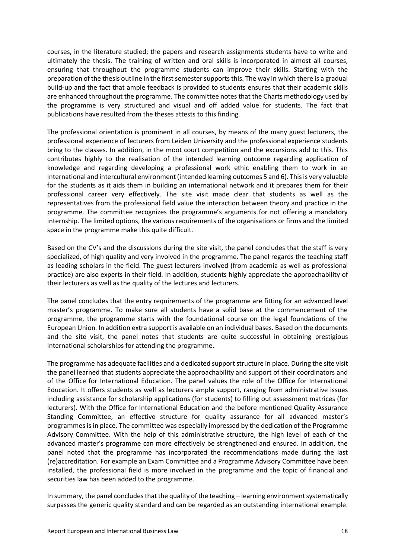courses, in the literature studied; the papers and research assignments students have to write and ultimately the thesis. The training of written and oral skills is incorporated in almost all courses, ensuring that throughout the programme students can improve their skills. Starting with the preparation of the thesis outline in the first semester supports this. The way in which there is a gradual build-up and the fact that ample feedback is provided to students ensures that their academic skills are enhanced throughout the programme. The committee notes that the Charts methodology used by the programme is very structured and visual and off added value for students. The fact that publications have resulted from the theses attests to this finding.

The professional orientation is prominent in all courses, by means of the many guest lecturers, the professional experience of lecturers from Leiden University and the professional experience students bring to the classes. In addition, in the moot court competition and the excursions add to this. This contributes highly to the realisation of the intended learning outcome regarding application of knowledge and regarding developing a professional work ethic enabling them to work in an international and intercultural environment (intended learning outcomes 5 and 6). This is very valuable for the students as it aids them in building an international network and it prepares them for their professional career very effectively. The site visit made clear that students as well as the representatives from the professional field value the interaction between theory and practice in the programme. The committee recognizes the programme's arguments for not offering a mandatory internship. The limited options, the various requirements of the organisations or firms and the limited space in the programme make this quite difficult.

Based on the CV's and the discussions during the site visit, the panel concludes that the staff is very specialized, of high quality and very involved in the programme. The panel regards the teaching staff as leading scholars in the field. The guest lecturers involved (from academia as well as professional practice) are also experts in their field. In addition, students highly appreciate the approachability of their lecturers as well as the quality of the lectures and lecturers.

The panel concludes that the entry requirements of the programme are fitting for an advanced level master's programme. To make sure all students have a solid base at the commencement of the programme, the programme starts with the foundational course on the legal foundations of the European Union. In addition extra support is available on an individual bases. Based on the documents and the site visit, the panel notes that students are quite successful in obtaining prestigious international scholarships for attending the programme.

The programme has adequate facilities and a dedicated support structure in place. During the site visit the panel learned that students appreciate the approachability and support of their coordinators and of the Office for International Education. The panel values the role of the Office for International Education. It offers students as well as lecturers ample support, ranging from administrative issues including assistance for scholarship applications (for students) to filling out assessment matrices (for lecturers). With the Office for International Education and the before mentioned Quality Assurance Standing Committee, an effective structure for quality assurance for all advanced master's programmes is in place. The committee was especially impressed by the dedication of the Programme Advisory Committee. With the help of this administrative structure, the high level of each of the advanced master's programme can more effectively be strengthened and ensured. In addition, the panel noted that the programme has incorporated the recommendations made during the last (re)accreditation. For example an Exam Committee and a Programme Advisory Committee have been installed, the professional field is more involved in the programme and the topic of financial and securities law has been added to the programme.

In summary, the panel concludes that the quality of the teaching – learning environment systematically surpasses the generic quality standard and can be regarded as an outstanding international example.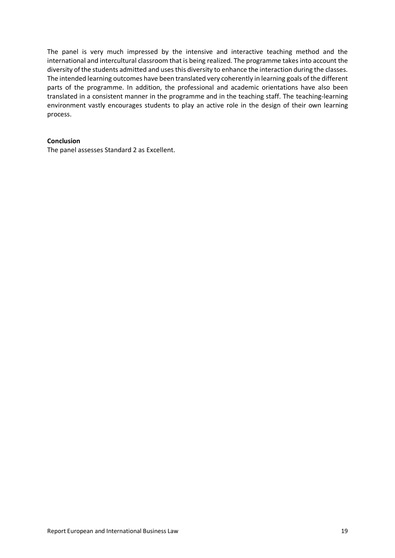The panel is very much impressed by the intensive and interactive teaching method and the international and intercultural classroom that is being realized. The programme takes into account the diversity of the students admitted and uses this diversity to enhance the interaction during the classes. The intended learning outcomes have been translated very coherently in learning goals of the different parts of the programme. In addition, the professional and academic orientations have also been translated in a consistent manner in the programme and in the teaching staff. The teaching-learning environment vastly encourages students to play an active role in the design of their own learning process.

#### **Conclusion**

The panel assesses Standard 2 as Excellent.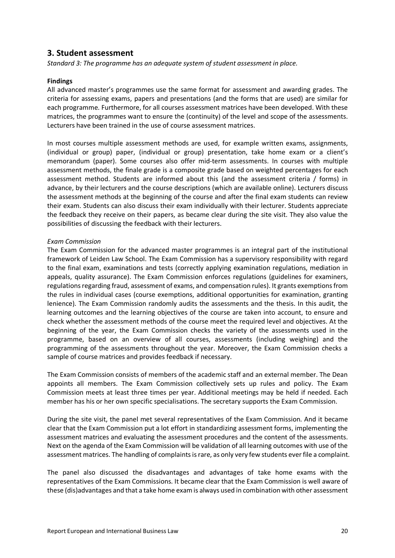### **3. Student assessment**

*Standard 3: The programme has an adequate system of student assessment in place.*

#### **Findings**

All advanced master's programmes use the same format for assessment and awarding grades. The criteria for assessing exams, papers and presentations (and the forms that are used) are similar for each programme. Furthermore, for all courses assessment matrices have been developed. With these matrices, the programmes want to ensure the (continuity) of the level and scope of the assessments. Lecturers have been trained in the use of course assessment matrices.

In most courses multiple assessment methods are used, for example written exams, assignments, (individual or group) paper, (individual or group) presentation, take home exam or a client's memorandum (paper). Some courses also offer mid-term assessments. In courses with multiple assessment methods, the finale grade is a composite grade based on weighted percentages for each assessment method. Students are informed about this (and the assessment criteria / forms) in advance, by their lecturers and the course descriptions (which are available online). Lecturers discuss the assessment methods at the beginning of the course and after the final exam students can review their exam. Students can also discuss their exam individually with their lecturer. Students appreciate the feedback they receive on their papers, as became clear during the site visit. They also value the possibilities of discussing the feedback with their lecturers.

#### *Exam Commission*

The Exam Commission for the advanced master programmes is an integral part of the institutional framework of Leiden Law School. The Exam Commission has a supervisory responsibility with regard to the final exam, examinations and tests (correctly applying examination regulations, mediation in appeals, quality assurance). The Exam Commission enforces regulations (guidelines for examiners, regulations regarding fraud, assessment of exams, and compensation rules). It grants exemptions from the rules in individual cases (course exemptions, additional opportunities for examination, granting lenience). The Exam Commission randomly audits the assessments and the thesis. In this audit, the learning outcomes and the learning objectives of the course are taken into account, to ensure and check whether the assessment methods of the course meet the required level and objectives. At the beginning of the year, the Exam Commission checks the variety of the assessments used in the programme, based on an overview of all courses, assessments (including weighing) and the programming of the assessments throughout the year. Moreover, the Exam Commission checks a sample of course matrices and provides feedback if necessary.

The Exam Commission consists of members of the academic staff and an external member. The Dean appoints all members. The Exam Commission collectively sets up rules and policy. The Exam Commission meets at least three times per year. Additional meetings may be held if needed. Each member has his or her own specific specialisations. The secretary supports the Exam Commission.

During the site visit, the panel met several representatives of the Exam Commission. And it became clear that the Exam Commission put a lot effort in standardizing assessment forms, implementing the assessment matrices and evaluating the assessment procedures and the content of the assessments. Next on the agenda of the Exam Commission will be validation of all learning outcomes with use of the assessment matrices. The handling of complaints is rare, as only very few students ever file a complaint.

The panel also discussed the disadvantages and advantages of take home exams with the representatives of the Exam Commissions. It became clear that the Exam Commission is well aware of these (dis)advantages and that a take home exam is always used in combination with other assessment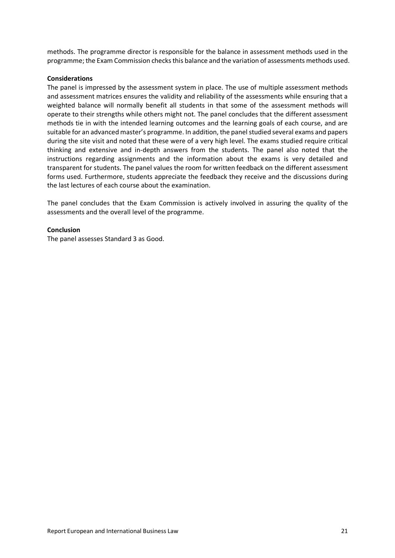methods. The programme director is responsible for the balance in assessment methods used in the programme; the Exam Commission checks this balance and the variation of assessments methods used.

#### **Considerations**

The panel is impressed by the assessment system in place. The use of multiple assessment methods and assessment matrices ensures the validity and reliability of the assessments while ensuring that a weighted balance will normally benefit all students in that some of the assessment methods will operate to their strengths while others might not. The panel concludes that the different assessment methods tie in with the intended learning outcomes and the learning goals of each course, and are suitable for an advanced master's programme. In addition, the panel studied several exams and papers during the site visit and noted that these were of a very high level. The exams studied require critical thinking and extensive and in-depth answers from the students. The panel also noted that the instructions regarding assignments and the information about the exams is very detailed and transparent for students. The panel values the room for written feedback on the different assessment forms used. Furthermore, students appreciate the feedback they receive and the discussions during the last lectures of each course about the examination.

The panel concludes that the Exam Commission is actively involved in assuring the quality of the assessments and the overall level of the programme.

#### **Conclusion**

The panel assesses Standard 3 as Good.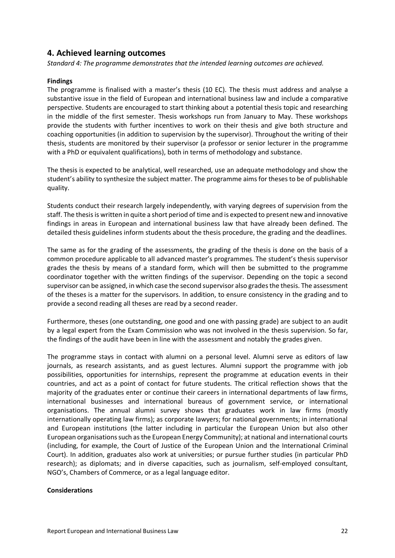### **4. Achieved learning outcomes**

*Standard 4: The programme demonstrates that the intended learning outcomes are achieved.*

#### **Findings**

The programme is finalised with a master's thesis (10 EC). The thesis must address and analyse a substantive issue in the field of European and international business law and include a comparative perspective. Students are encouraged to start thinking about a potential thesis topic and researching in the middle of the first semester. Thesis workshops run from January to May. These workshops provide the students with further incentives to work on their thesis and give both structure and coaching opportunities (in addition to supervision by the supervisor). Throughout the writing of their thesis, students are monitored by their supervisor (a professor or senior lecturer in the programme with a PhD or equivalent qualifications), both in terms of methodology and substance.

The thesis is expected to be analytical, well researched, use an adequate methodology and show the student's ability to synthesize the subject matter. The programme aims for theses to be of publishable quality.

Students conduct their research largely independently, with varying degrees of supervision from the staff. The thesis is written in quite a short period of time and is expected to present new and innovative findings in areas in European and international business law that have already been defined. The detailed thesis guidelines inform students about the thesis procedure, the grading and the deadlines.

The same as for the grading of the assessments, the grading of the thesis is done on the basis of a common procedure applicable to all advanced master's programmes. The student's thesis supervisor grades the thesis by means of a standard form, which will then be submitted to the programme coordinator together with the written findings of the supervisor. Depending on the topic a second supervisor can be assigned, in which case the second supervisor also grades the thesis. The assessment of the theses is a matter for the supervisors. In addition, to ensure consistency in the grading and to provide a second reading all theses are read by a second reader.

Furthermore, theses (one outstanding, one good and one with passing grade) are subject to an audit by a legal expert from the Exam Commission who was not involved in the thesis supervision. So far, the findings of the audit have been in line with the assessment and notably the grades given.

The programme stays in contact with alumni on a personal level. Alumni serve as editors of law journals, as research assistants, and as guest lectures. Alumni support the programme with job possibilities, opportunities for internships, represent the programme at education events in their countries, and act as a point of contact for future students. The critical reflection shows that the majority of the graduates enter or continue their careers in international departments of law firms, international businesses and international bureaus of government service, or international organisations. The annual alumni survey shows that graduates work in law firms (mostly internationally operating law firms); as corporate lawyers; for national governments; in international and European institutions (the latter including in particular the European Union but also other European organisations such as the European Energy Community); at national and international courts (including, for example, the Court of Justice of the European Union and the International Criminal Court). In addition, graduates also work at universities; or pursue further studies (in particular PhD research); as diplomats; and in diverse capacities, such as journalism, self-employed consultant, NGO's, Chambers of Commerce, or as a legal language editor.

#### **Considerations**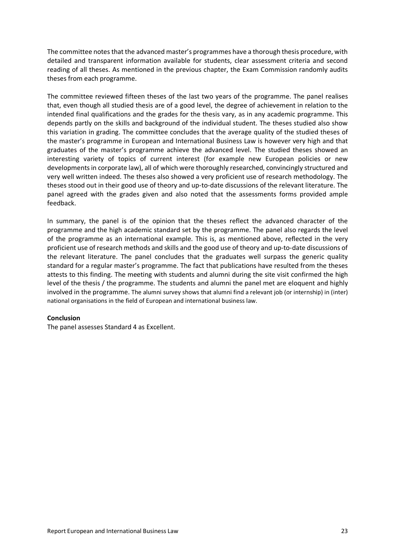The committee notes that the advanced master's programmes have a thorough thesis procedure, with detailed and transparent information available for students, clear assessment criteria and second reading of all theses. As mentioned in the previous chapter, the Exam Commission randomly audits theses from each programme.

The committee reviewed fifteen theses of the last two years of the programme. The panel realises that, even though all studied thesis are of a good level, the degree of achievement in relation to the intended final qualifications and the grades for the thesis vary, as in any academic programme. This depends partly on the skills and background of the individual student. The theses studied also show this variation in grading. The committee concludes that the average quality of the studied theses of the master's programme in European and International Business Law is however very high and that graduates of the master's programme achieve the advanced level. The studied theses showed an interesting variety of topics of current interest (for example new European policies or new developments in corporate law), all of which were thoroughly researched, convincingly structured and very well written indeed. The theses also showed a very proficient use of research methodology. The theses stood out in their good use of theory and up-to-date discussions of the relevant literature. The panel agreed with the grades given and also noted that the assessments forms provided ample feedback.

In summary, the panel is of the opinion that the theses reflect the advanced character of the programme and the high academic standard set by the programme. The panel also regards the level of the programme as an international example. This is, as mentioned above, reflected in the very proficient use of research methods and skills and the good use of theory and up-to-date discussions of the relevant literature. The panel concludes that the graduates well surpass the generic quality standard for a regular master's programme. The fact that publications have resulted from the theses attests to this finding. The meeting with students and alumni during the site visit confirmed the high level of the thesis / the programme. The students and alumni the panel met are eloquent and highly involved in the programme. The alumni survey shows that alumni find a relevant job (or internship) in (inter) national organisations in the field of European and international business law.

#### **Conclusion**

The panel assesses Standard 4 as Excellent.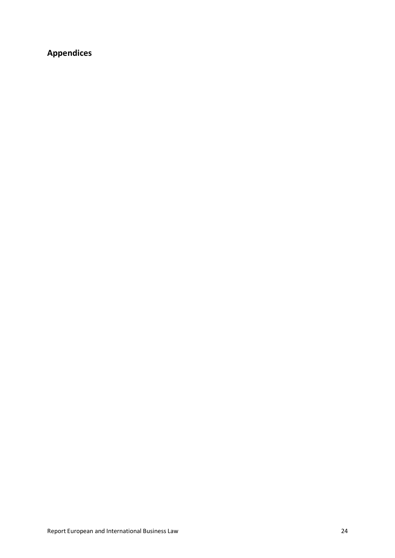## **Appendices**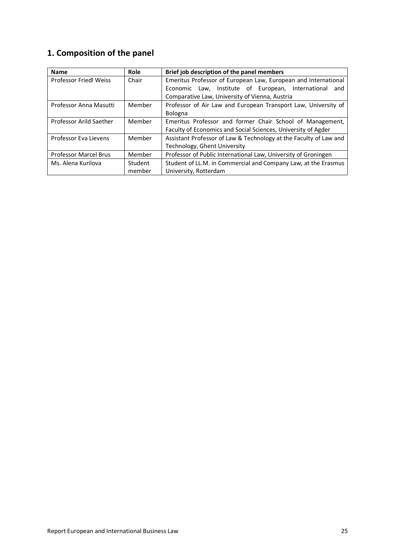## **1. Composition of the panel**

| <b>Name</b>                   | Role    | Brief job description of the panel members                        |  |  |
|-------------------------------|---------|-------------------------------------------------------------------|--|--|
| <b>Professor Friedl Weiss</b> | Chair   | Emeritus Professor of European Law, European and International    |  |  |
|                               |         | Economic Law, Institute of European, International<br>and         |  |  |
|                               |         | Comparative Law, University of Vienna, Austria                    |  |  |
| Professor Anna Masutti        | Member  | Professor of Air Law and European Transport Law, University of    |  |  |
|                               |         | Bologna                                                           |  |  |
| Professor Arild Saether       | Member  | Emeritus Professor and former Chair School of Management,         |  |  |
|                               |         | Faculty of Economics and Social Sciences, University of Agder     |  |  |
| Professor Eva Lievens         | Member  | Assistant Professor of Law & Technology at the Faculty of Law and |  |  |
|                               |         | Technology, Ghent University                                      |  |  |
| <b>Professor Marcel Brus</b>  | Member  | Professor of Public International Law, University of Groningen    |  |  |
| Ms. Alena Kurilova            | Student | Student of LL.M. in Commercial and Company Law, at the Erasmus    |  |  |
|                               | member  | University, Rotterdam                                             |  |  |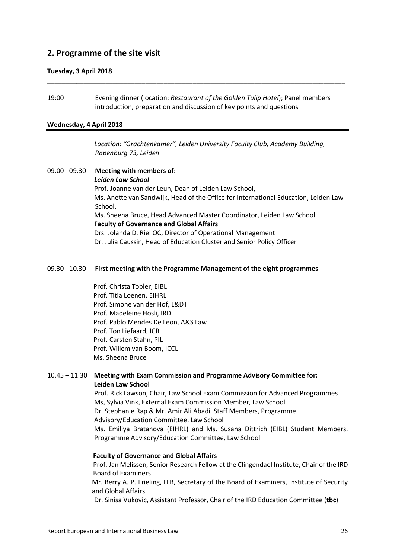### **2. Programme of the site visit**

#### **Tuesday, 3 April 2018**

19:00 Evening dinner (location: *Restaurant of the Golden Tulip Hotel*); Panel members introduction, preparation and discussion of key points and questions

\_\_\_\_\_\_\_\_\_\_\_\_\_\_\_\_\_\_\_\_\_\_\_\_\_\_\_\_\_\_\_\_\_\_\_\_\_\_\_\_\_\_\_\_\_\_\_\_\_\_\_\_\_\_\_\_\_\_\_\_\_\_\_\_\_\_\_\_\_\_\_\_\_\_\_\_\_\_\_\_\_\_

#### **Wednesday, 4 April 2018**

*Location: "Grachtenkamer", Leiden University Faculty Club, Academy Building, Rapenburg 73, Leiden*

09.00 - 09.30 **Meeting with members of:** *Leiden Law School* Prof. Joanne van der Leun, Dean of Leiden Law School, Ms. Anette van Sandwijk, Head of the Office for International Education, Leiden Law School, Ms. Sheena Bruce, Head Advanced Master Coordinator, Leiden Law School **Faculty of Governance and Global Affairs** Drs. Jolanda D. Riel QC, Director of Operational Management Dr. Julia Caussin, Head of Education Cluster and Senior Policy Officer

#### 09.30 - 10.30 **First meeting with the Programme Management of the eight programmes**

Prof. Christa Tobler, EIBL Prof. Titia Loenen, EIHRL Prof. Simone van der Hof, L&DT Prof. Madeleine Hosli, IRD Prof. Pablo Mendes De Leon, A&S Law Prof. Ton Liefaard, ICR Prof. Carsten Stahn, PIL Prof. Willem van Boom, ICCL Ms. Sheena Bruce

#### 10.45 – 11.30 **Meeting with Exam Commission and Programme Advisory Committee for: Leiden Law School**

Prof. Rick Lawson, Chair, Law School Exam Commission for Advanced Programmes Ms, Sylvia Vink, External Exam Commission Member, Law School Dr. Stephanie Rap & Mr. Amir Ali Abadi, Staff Members, Programme Advisory/Education Committee, Law School Ms. Emiliya Bratanova (EIHRL) and Ms. Susana Dittrich (EIBL) Student Members, Programme Advisory/Education Committee, Law School

#### **Faculty of Governance and Global Affairs**

Prof. Jan Melissen, Senior Research Fellow at the Clingendael Institute, Chair of the IRD Board of Examiners

Mr. Berry A. P. Frieling, LLB, Secretary of the Board of Examiners, Institute of Security and Global Affairs

Dr. Sinisa Vukovic, Assistant Professor, Chair of the IRD Education Committee (**tbc**)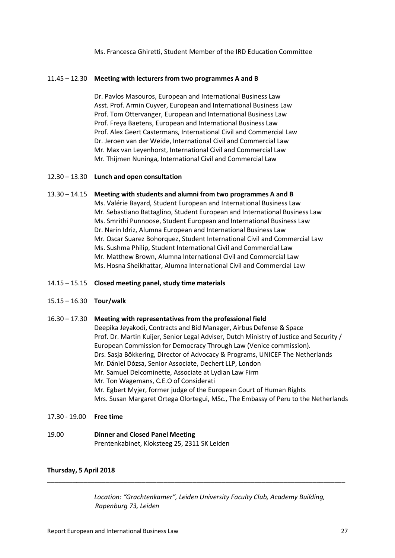Ms. Francesca Ghiretti, Student Member of the IRD Education Committee

#### 11.45 – 12.30 **Meeting with lecturers from two programmes A and B**

Dr. Pavlos Masouros, European and International Business Law Asst. Prof. Armin Cuyver, European and International Business Law Prof. Tom Ottervanger, European and International Business Law Prof. Freya Baetens, European and International Business Law Prof. Alex Geert Castermans, International Civil and Commercial Law Dr. Jeroen van der Weide, International Civil and Commercial Law Mr. Max van Leyenhorst, International Civil and Commercial Law Mr. Thijmen Nuninga, International Civil and Commercial Law

#### 12.30 – 13.30 **Lunch and open consultation**

#### 13.30 – 14.15 **Meeting with students and alumni from two programmes A and B**

Ms. Valérie Bayard, Student European and International Business Law Mr. Sebastiano Battaglino, Student European and International Business Law Ms. Smrithi Punnoose, Student European and International Business Law Dr. Narin Idriz, Alumna European and International Business Law Mr. Oscar Suarez Bohorquez, Student International Civil and Commercial Law Ms. Sushma Philip, Student International Civil and Commercial Law Mr. Matthew Brown, Alumna International Civil and Commercial Law Ms. Hosna Sheikhattar, Alumna International Civil and Commercial Law

#### 14.15 – 15.15 **Closed meeting panel, study time materials**

#### 15.15 – 16.30 **Tour/walk**

#### 16.30 – 17.30 **Meeting with representatives from the professional field**

Deepika Jeyakodi, Contracts and Bid Manager, Airbus Defense & Space Prof. Dr. Martin Kuijer, Senior Legal Adviser, Dutch Ministry of Justice and Security / European Commission for Democracy Through Law (Venice commission). Drs. Sasja Bökkering, Director of Advocacy & Programs, UNICEF The Netherlands Mr. Dániel Dózsa, Senior Associate, Dechert LLP, London Mr. Samuel Delcominette, Associate at Lydian Law Firm Mr. Ton Wagemans, C.E.O of Considerati Mr. Egbert Myjer, former judge of the European Court of Human Rights Mrs. Susan Margaret Ortega Olortegui, MSc., The Embassy of Peru to the Netherlands

17.30 - 19.00 **Free time**

#### 19.00 **Dinner and Closed Panel Meeting** Prentenkabinet, Kloksteeg 25, 2311 SK Leiden

#### **Thursday, 5 April 2018**

*Location: "Grachtenkamer", Leiden University Faculty Club, Academy Building, Rapenburg 73, Leiden*

\_\_\_\_\_\_\_\_\_\_\_\_\_\_\_\_\_\_\_\_\_\_\_\_\_\_\_\_\_\_\_\_\_\_\_\_\_\_\_\_\_\_\_\_\_\_\_\_\_\_\_\_\_\_\_\_\_\_\_\_\_\_\_\_\_\_\_\_\_\_\_\_\_\_\_\_\_\_\_\_\_\_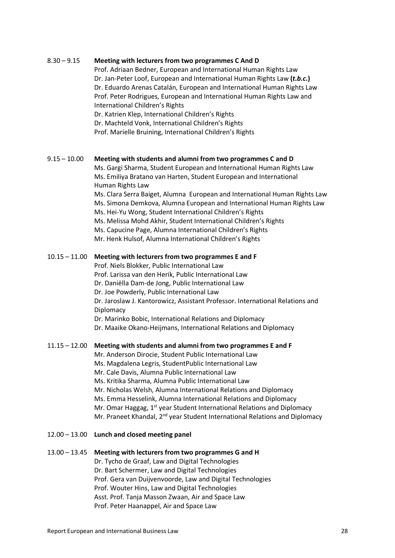#### 8.30 – 9.15 **Meeting with lecturers from two programmes C And D**

Prof. Adriaan Bedner, European and International Human Rights Law Dr. Jan-Peter Loof, European and International Human Rights Law **(***t.b.c***.)** Dr. Eduardo Arenas Catalán, European and International Human Rights Law Prof. Peter Rodrigues, European and International Human Rights Law and International Children's Rights

Dr. Katrien Klep, International Children's Rights Dr. Machteld Vonk, International Children's Rights Prof. Marielle Bruining, International Children's Rights

#### 9.15 – 10.00 **Meeting with students and alumni from two programmes C and D**

Ms. Gargi Sharma, Student European and International Human Rights Law Ms. Emiliya Bratano van Harten, Student European and International Human Rights Law

Ms. Clara Serra Baiget, Alumna European and International Human Rights Law Ms. Simona Demkova, Alumna European and International Human Rights Law Ms. Hei-Yu Wong, Student International Children's Rights Ms. Melissa Mohd Akhir, Student International Children's Rights Ms. Capucine Page, Alumna International Children's Rights

Mr. Henk Hulsof, Alumna International Children's Rights

#### 10.15 – 11.00 **Meeting with lecturers from two programmes E and F**

Prof. Niels Blokker, Public International Law

Prof. Larissa van den Herik, Public International Law

- Dr. Daniëlla Dam-de Jong, Public International Law
- Dr. Joe Powderly, Public International Law

Dr. Jaroslaw J. Kantorowicz, Assistant Professor. International Relations and **Diplomacy** 

Dr. Marinko Bobic, International Relations and Diplomacy

Dr. Maaike Okano-Heijmans, International Relations and Diplomacy

#### 11.15 – 12.00 **Meeting with students and alumni from two programmes E and F**

Mr. Anderson Dirocie, Student Public International Law

- Ms. Magdalena Legris, StudentPublic International Law
- Mr. Cale Davis, Alumna Public International Law

Ms. Kritika Sharma, Alumna Public International Law

Mr. Nicholas Welsh, Alumna International Relations and Diplomacy

- Ms. Emma Hesselink, Alumna International Relations and Diplomacy
- Mr. Omar Haggag, 1<sup>st</sup> year Student International Relations and Diplomacy

Mr. Praneet Khandal, 2<sup>nd</sup> year Student International Relations and Diplomacy

#### 12.00 – 13.00 **Lunch and closed meeting panel**

#### 13.00 – 13.45 **Meeting with lecturers from two programmes G and H**

Dr. Tycho de Graaf, Law and Digital Technologies Dr. Bart Schermer, Law and Digital Technologies Prof. Gera van Duijvenvoorde, Law and Digital Technologies Prof. Wouter Hins, Law and Digital Technologies Asst. Prof. Tanja Masson Zwaan, Air and Space Law Prof. Peter Haanappel, Air and Space Law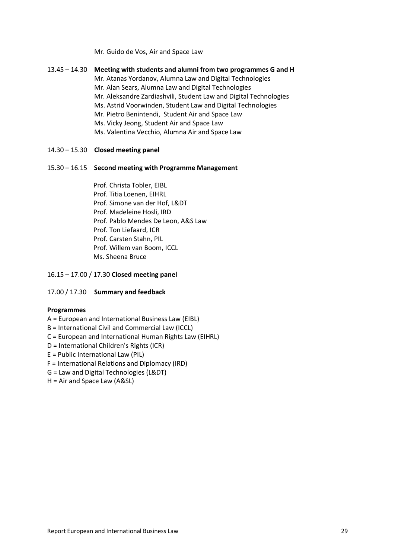Mr. Guido de Vos, Air and Space Law

| 13.45 – 14.30 | Meeting with students and alumni from two programmes G and H<br>Mr. Atanas Yordanov, Alumna Law and Digital Technologies<br>Mr. Alan Sears, Alumna Law and Digital Technologies<br>Mr. Aleksandre Zardiashvili, Student Law and Digital Technologies<br>Ms. Astrid Voorwinden, Student Law and Digital Technologies<br>Mr. Pietro Benintendi, Student Air and Space Law |
|---------------|-------------------------------------------------------------------------------------------------------------------------------------------------------------------------------------------------------------------------------------------------------------------------------------------------------------------------------------------------------------------------|
|               | Ms. Vicky Jeong, Student Air and Space Law<br>Ms. Valentina Vecchio, Alumna Air and Space Law                                                                                                                                                                                                                                                                           |

#### 14.30 – 15.30 **Closed meeting panel**

#### 15.30 – 16.15 **Second meeting with Programme Management**

Prof. Christa Tobler, EIBL Prof. Titia Loenen, EIHRL Prof. Simone van der Hof, L&DT Prof. Madeleine Hosli, IRD Prof. Pablo Mendes De Leon, A&S Law Prof. Ton Liefaard, ICR Prof. Carsten Stahn, PIL Prof. Willem van Boom, ICCL Ms. Sheena Bruce

#### 16.15 – 17.00 / 17.30 **Closed meeting panel**

#### 17.00 / 17.30 **Summary and feedback**

#### **Programmes**

#### A = European and International Business Law (EIBL)

- B = International Civil and Commercial Law (ICCL)
- C = European and International Human Rights Law (EIHRL)
- D = International Children's Rights (ICR)
- E = Public International Law (PIL)
- F = International Relations and Diplomacy (IRD)

#### G = Law and Digital Technologies (L&DT)

H = Air and Space Law (A&SL)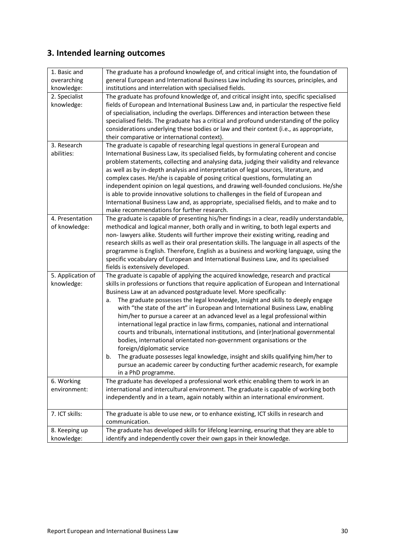## **3. Intended learning outcomes**

| 1. Basic and      | The graduate has a profound knowledge of, and critical insight into, the foundation of        |
|-------------------|-----------------------------------------------------------------------------------------------|
| overarching       | general European and International Business Law including its sources, principles, and        |
| knowledge:        | institutions and interrelation with specialised fields.                                       |
| 2. Specialist     | The graduate has profound knowledge of, and critical insight into, specific specialised       |
| knowledge:        | fields of European and International Business Law and, in particular the respective field     |
|                   | of specialisation, including the overlaps. Differences and interaction between these          |
|                   | specialised fields. The graduate has a critical and profound understanding of the policy      |
|                   | considerations underlying these bodies or law and their context (i.e., as appropriate,        |
|                   | their comparative or international context).                                                  |
| 3. Research       | The graduate is capable of researching legal questions in general European and                |
| abilities:        | International Business Law, its specialised fields, by formulating coherent and concise       |
|                   | problem statements, collecting and analysing data, judging their validity and relevance       |
|                   | as well as by in-depth analysis and interpretation of legal sources, literature, and          |
|                   | complex cases. He/she is capable of posing critical questions, formulating an                 |
|                   | independent opinion on legal questions, and drawing well-founded conclusions. He/she          |
|                   | is able to provide innovative solutions to challenges in the field of European and            |
|                   | International Business Law and, as appropriate, specialised fields, and to make and to        |
|                   | make recommendations for further research.                                                    |
| 4. Presentation   | The graduate is capable of presenting his/her findings in a clear, readily understandable,    |
| of knowledge:     | methodical and logical manner, both orally and in writing, to both legal experts and          |
|                   | non- lawyers alike. Students will further improve their existing writing, reading and         |
|                   | research skills as well as their oral presentation skills. The language in all aspects of the |
|                   | programme is English. Therefore, English as a business and working language, using the        |
|                   | specific vocabulary of European and International Business Law, and its specialised           |
|                   | fields is extensively developed.                                                              |
| 5. Application of | The graduate is capable of applying the acquired knowledge, research and practical            |
| knowledge:        | skills in professions or functions that require application of European and International     |
|                   | Business Law at an advanced postgraduate level. More specifically:                            |
|                   | The graduate possesses the legal knowledge, insight and skills to deeply engage<br>a.         |
|                   | with "the state of the art" in European and International Business Law, enabling              |
|                   | him/her to pursue a career at an advanced level as a legal professional within                |
|                   | international legal practice in law firms, companies, national and international              |
|                   | courts and tribunals, international institutions, and (inter)national governmental            |
|                   | bodies, international orientated non-government organisations or the                          |
|                   | foreign/diplomatic service                                                                    |
|                   | The graduate possesses legal knowledge, insight and skills qualifying him/her to<br>b.        |
|                   | pursue an academic career by conducting further academic research, for example                |
|                   | in a PhD programme.                                                                           |
| 6. Working        | The graduate has developed a professional work ethic enabling them to work in an              |
| environment:      | international and intercultural environment. The graduate is capable of working both          |
|                   | independently and in a team, again notably within an international environment.               |
|                   |                                                                                               |
| 7. ICT skills:    | The graduate is able to use new, or to enhance existing, ICT skills in research and           |
|                   | communication.                                                                                |
| 8. Keeping up     | The graduate has developed skills for lifelong learning, ensuring that they are able to       |
| knowledge:        | identify and independently cover their own gaps in their knowledge.                           |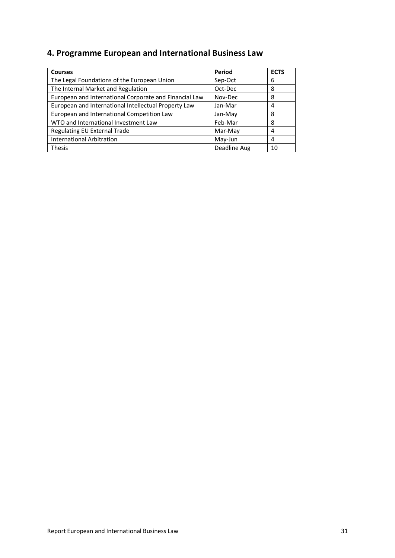## **4. Programme European and International Business Law**

| <b>Courses</b>                                         | Period       | <b>ECTS</b> |
|--------------------------------------------------------|--------------|-------------|
| The Legal Foundations of the European Union            | Sep-Oct      | 6           |
| The Internal Market and Regulation                     | Oct-Dec      | 8           |
| European and International Corporate and Financial Law | Nov-Dec      | 8           |
| European and International Intellectual Property Law   | Jan-Mar      | 4           |
| European and International Competition Law             | Jan-May      | 8           |
| WTO and International Investment Law                   | Feb-Mar      | 8           |
| Regulating EU External Trade                           | Mar-May      | 4           |
| <b>International Arbitration</b>                       | May-Jun      | 4           |
| <b>Thesis</b>                                          | Deadline Aug | 10          |